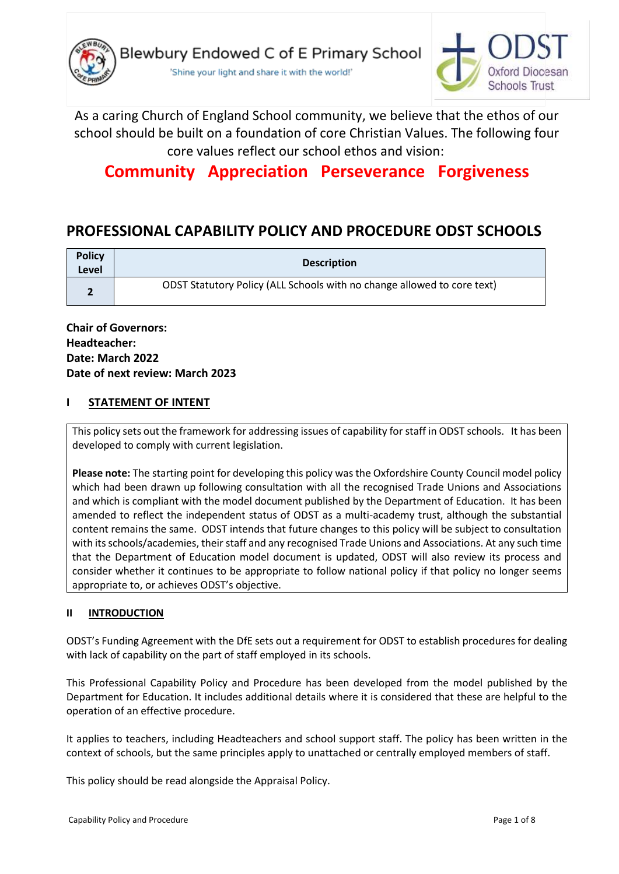

'Shine your light and share it with the world!'



As a caring Church of England School community, we believe that the ethos of our school should be built on a foundation of core Christian Values. The following four core values reflect our school ethos and vision:

# **Community Appreciation Perseverance Forgiveness**

# **PROFESSIONAL CAPABILITY POLICY AND PROCEDURE ODST SCHOOLS**

| <b>Policy</b><br>Level | <b>Description</b>                                                      |
|------------------------|-------------------------------------------------------------------------|
| $\blacksquare$         | ODST Statutory Policy (ALL Schools with no change allowed to core text) |

**Chair of Governors: Headteacher: Date: March 2022 Date of next review: March 2023**

# **I STATEMENT OF INTENT**

This policy sets out the framework for addressing issues of capability for staff in ODST schools. It has been developed to comply with current legislation.

**Please note:** The starting point for developing this policy was the Oxfordshire County Council model policy which had been drawn up following consultation with all the recognised Trade Unions and Associations and which is compliant with the model document published by the Department of Education. It has been amended to reflect the independent status of ODST as a multi-academy trust, although the substantial content remains the same. ODST intends that future changes to this policy will be subject to consultation with its schools/academies, their staff and any recognised Trade Unions and Associations. At any such time that the Department of Education model document is updated, ODST will also review its process and consider whether it continues to be appropriate to follow national policy if that policy no longer seems appropriate to, or achieves ODST's objective.

### **II INTRODUCTION**

ODST's Funding Agreement with the DfE sets out a requirement for ODST to establish procedures for dealing with lack of capability on the part of staff employed in its schools.

This Professional Capability Policy and Procedure has been developed from the model published by the Department for Education. It includes additional details where it is considered that these are helpful to the operation of an effective procedure.

It applies to teachers, including Headteachers and school support staff. The policy has been written in the context of schools, but the same principles apply to unattached or centrally employed members of staff.

This policy should be read alongside the Appraisal Policy.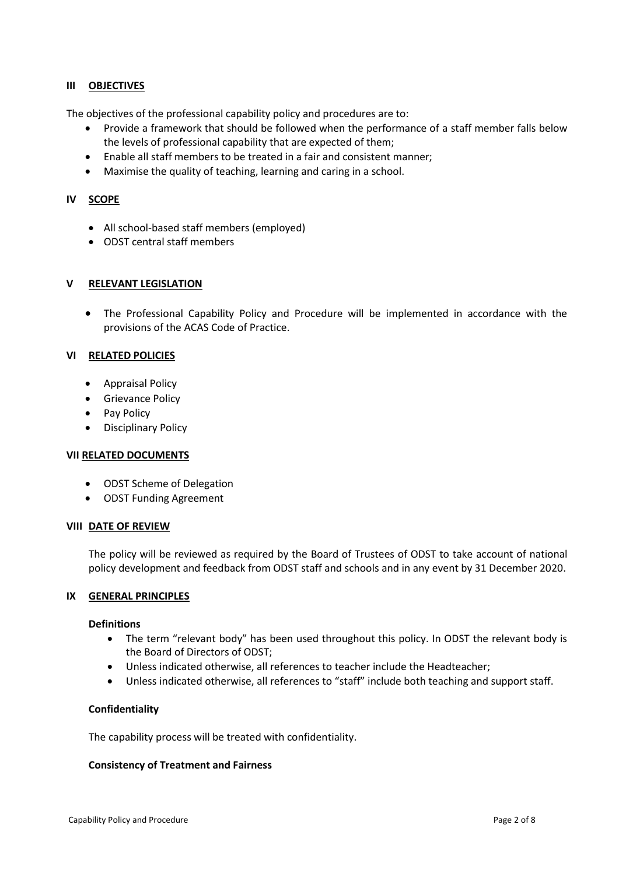### **III OBJECTIVES**

The objectives of the professional capability policy and procedures are to:

- Provide a framework that should be followed when the performance of a staff member falls below the levels of professional capability that are expected of them;
- Enable all staff members to be treated in a fair and consistent manner;
- Maximise the quality of teaching, learning and caring in a school.

### **IV SCOPE**

- All school-based staff members (employed)
- ODST central staff members

### **V RELEVANT LEGISLATION**

• The Professional Capability Policy and Procedure will be implemented in accordance with the provisions of the ACAS Code of Practice.

### **VI RELATED POLICIES**

- Appraisal Policy
- Grievance Policy
- Pay Policy
- Disciplinary Policy

### **VII RELATED DOCUMENTS**

- ODST Scheme of Delegation
- ODST Funding Agreement

### **VIII DATE OF REVIEW**

The policy will be reviewed as required by the Board of Trustees of ODST to take account of national policy development and feedback from ODST staff and schools and in any event by 31 December 2020.

### **IX GENERAL PRINCIPLES**

### **Definitions**

- The term "relevant body" has been used throughout this policy. In ODST the relevant body is the Board of Directors of ODST;
- Unless indicated otherwise, all references to teacher include the Headteacher;
- Unless indicated otherwise, all references to "staff" include both teaching and support staff.

### **Confidentiality**

The capability process will be treated with confidentiality.

### **Consistency of Treatment and Fairness**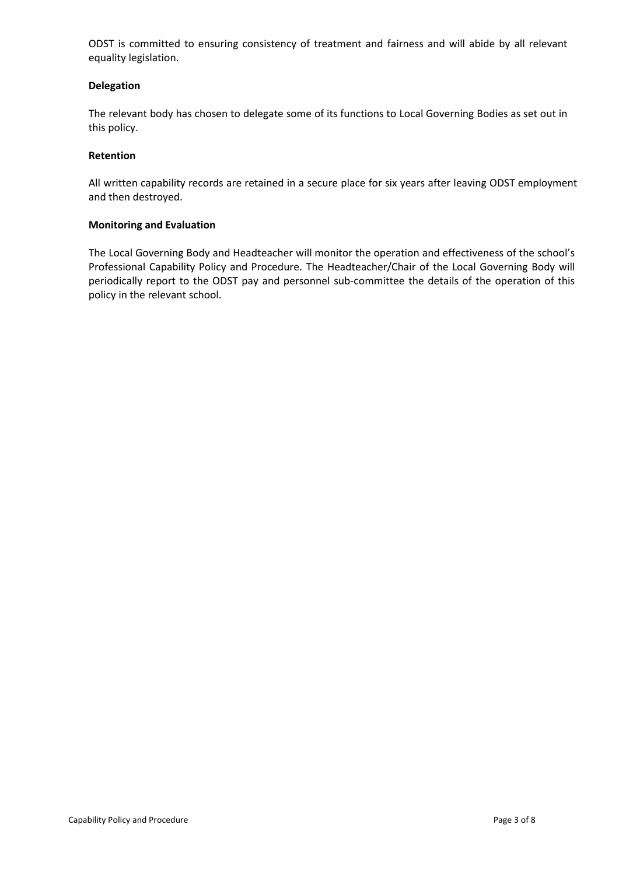ODST is committed to ensuring consistency of treatment and fairness and will abide by all relevant equality legislation.

### **Delegation**

The relevant body has chosen to delegate some of its functions to Local Governing Bodies as set out in this policy.

### **Retention**

All written capability records are retained in a secure place for six years after leaving ODST employment and then destroyed.

### **Monitoring and Evaluation**

The Local Governing Body and Headteacher will monitor the operation and effectiveness of the school's Professional Capability Policy and Procedure. The Headteacher/Chair of the Local Governing Body will periodically report to the ODST pay and personnel sub-committee the details of the operation of this policy in the relevant school.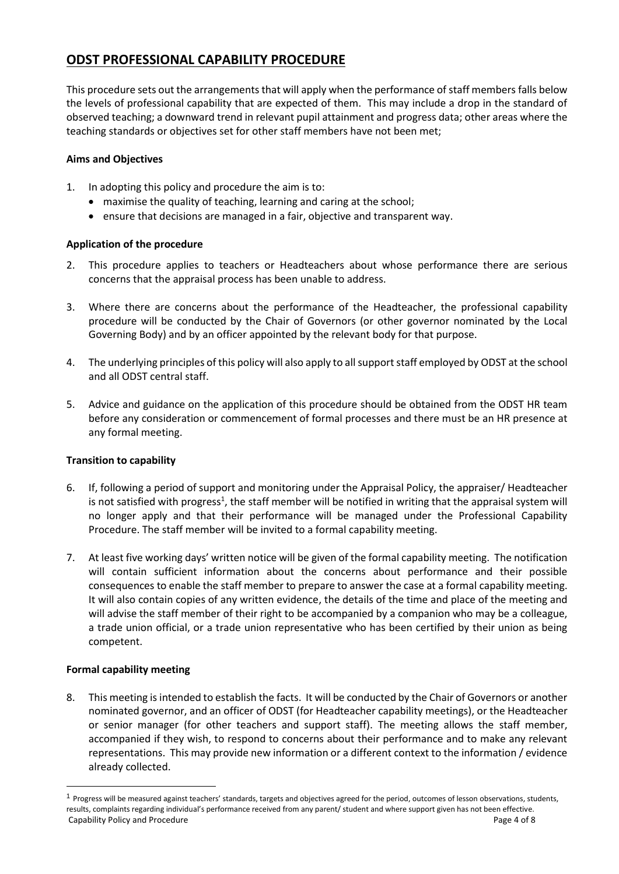# **ODST PROFESSIONAL CAPABILITY PROCEDURE**

This procedure sets out the arrangements that will apply when the performance of staff members falls below the levels of professional capability that are expected of them. This may include a drop in the standard of observed teaching; a downward trend in relevant pupil attainment and progress data; other areas where the teaching standards or objectives set for other staff members have not been met;

## **Aims and Objectives**

- 1. In adopting this policy and procedure the aim is to:
	- maximise the quality of teaching, learning and caring at the school;
	- ensure that decisions are managed in a fair, objective and transparent way.

## **Application of the procedure**

- 2. This procedure applies to teachers or Headteachers about whose performance there are serious concerns that the appraisal process has been unable to address.
- 3. Where there are concerns about the performance of the Headteacher, the professional capability procedure will be conducted by the Chair of Governors (or other governor nominated by the Local Governing Body) and by an officer appointed by the relevant body for that purpose.
- 4. The underlying principles of this policy will also apply to all support staff employed by ODST at the school and all ODST central staff.
- 5. Advice and guidance on the application of this procedure should be obtained from the ODST HR team before any consideration or commencement of formal processes and there must be an HR presence at any formal meeting.

### **Transition to capability**

- 6. If, following a period of support and monitoring under the Appraisal Policy, the appraiser/ Headteacher is not satisfied with progress<sup>1</sup>, the staff member will be notified in writing that the appraisal system will no longer apply and that their performance will be managed under the Professional Capability Procedure. The staff member will be invited to a formal capability meeting.
- 7. At least five working days' written notice will be given of the formal capability meeting. The notification will contain sufficient information about the concerns about performance and their possible consequences to enable the staff member to prepare to answer the case at a formal capability meeting. It will also contain copies of any written evidence, the details of the time and place of the meeting and will advise the staff member of their right to be accompanied by a companion who may be a colleague, a trade union official, or a trade union representative who has been certified by their union as being competent.

### **Formal capability meeting**

8. This meeting is intended to establish the facts. It will be conducted by the Chair of Governors or another nominated governor, and an officer of ODST (for Headteacher capability meetings), or the Headteacher or senior manager (for other teachers and support staff). The meeting allows the staff member, accompanied if they wish, to respond to concerns about their performance and to make any relevant representations. This may provide new information or a different context to the information / evidence already collected.

Capability Policy and Procedure **Page 4 of 8** Capability Policy and Procedure  $1$  Progress will be measured against teachers' standards, targets and objectives agreed for the period, outcomes of lesson observations, students, results, complaints regarding individual's performance received from any parent/ student and where support given has not been effective.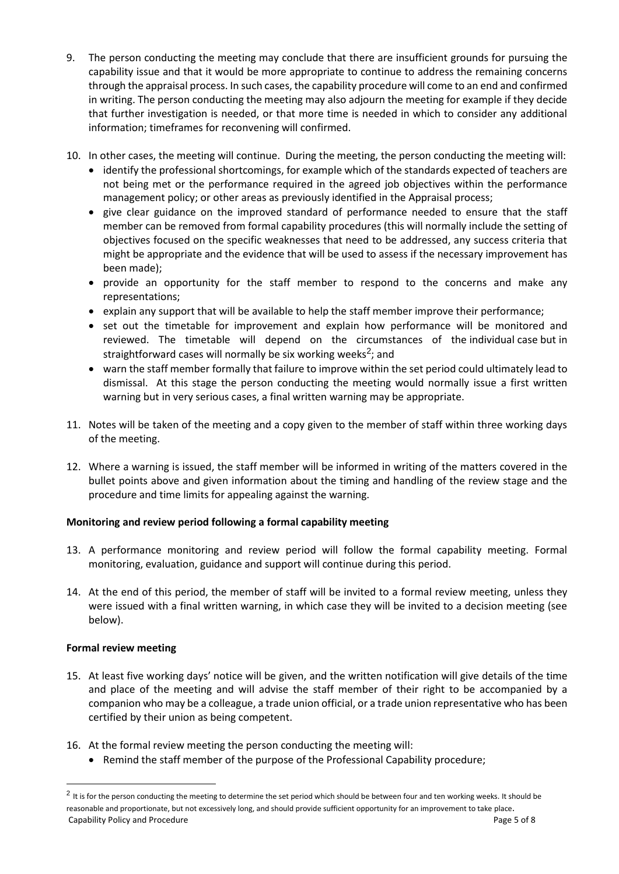- 9. The person conducting the meeting may conclude that there are insufficient grounds for pursuing the capability issue and that it would be more appropriate to continue to address the remaining concerns through the appraisal process. In such cases, the capability procedure will come to an end and confirmed in writing. The person conducting the meeting may also adjourn the meeting for example if they decide that further investigation is needed, or that more time is needed in which to consider any additional information; timeframes for reconvening will confirmed.
- 10. In other cases, the meeting will continue. During the meeting, the person conducting the meeting will:
	- identify the professional shortcomings, for example which of the standards expected of teachers are not being met or the performance required in the agreed job objectives within the performance management policy; or other areas as previously identified in the Appraisal process;
	- give clear guidance on the improved standard of performance needed to ensure that the staff member can be removed from formal capability procedures (this will normally include the setting of objectives focused on the specific weaknesses that need to be addressed, any success criteria that might be appropriate and the evidence that will be used to assess if the necessary improvement has been made);
	- provide an opportunity for the staff member to respond to the concerns and make any representations;
	- explain any support that will be available to help the staff member improve their performance;
	- set out the timetable for improvement and explain how performance will be monitored and reviewed. The timetable will depend on the circumstances of the individual case but in straightforward cases will normally be six working weeks<sup>2</sup>; and
	- warn the staff member formally that failure to improve within the set period could ultimately lead to dismissal. At this stage the person conducting the meeting would normally issue a first written warning but in very serious cases, a final written warning may be appropriate.
- 11. Notes will be taken of the meeting and a copy given to the member of staff within three working days of the meeting.
- 12. Where a warning is issued, the staff member will be informed in writing of the matters covered in the bullet points above and given information about the timing and handling of the review stage and the procedure and time limits for appealing against the warning.

# **Monitoring and review period following a formal capability meeting**

- 13. A performance monitoring and review period will follow the formal capability meeting. Formal monitoring, evaluation, guidance and support will continue during this period.
- 14. At the end of this period, the member of staff will be invited to a formal review meeting, unless they were issued with a final written warning, in which case they will be invited to a decision meeting (see below).

# **Formal review meeting**

- 15. At least five working days' notice will be given, and the written notification will give details of the time and place of the meeting and will advise the staff member of their right to be accompanied by a companion who may be a colleague, a trade union official, or a trade union representative who has been certified by their union as being competent.
- 16. At the formal review meeting the person conducting the meeting will:
	- Remind the staff member of the purpose of the Professional Capability procedure;

Capability Policy and Procedure **Page 5 of 8** and 2011 12 and 2012 12 and 2012 12 and 2012 12 and 2012 12 and 201  $^2$  It is for the person conducting the meeting to determine the set period which should be between four and ten working weeks. It should be reasonable and proportionate, but not excessively long, and should provide sufficient opportunity for an improvement to take place.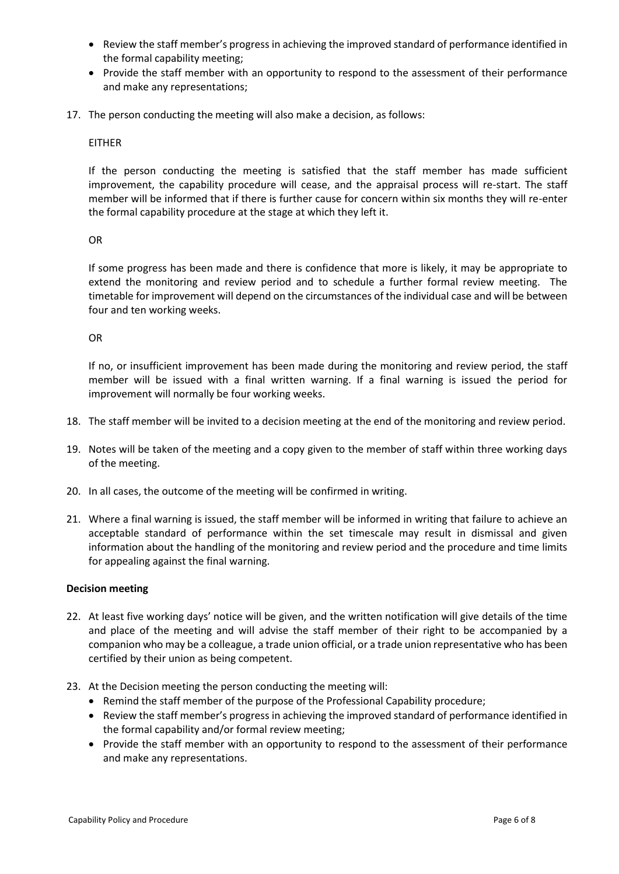- Review the staff member's progress in achieving the improved standard of performance identified in the formal capability meeting;
- Provide the staff member with an opportunity to respond to the assessment of their performance and make any representations;
- 17. The person conducting the meeting will also make a decision, as follows:

### EITHER

If the person conducting the meeting is satisfied that the staff member has made sufficient improvement, the capability procedure will cease, and the appraisal process will re-start. The staff member will be informed that if there is further cause for concern within six months they will re-enter the formal capability procedure at the stage at which they left it.

### OR

If some progress has been made and there is confidence that more is likely, it may be appropriate to extend the monitoring and review period and to schedule a further formal review meeting. The timetable for improvement will depend on the circumstances of the individual case and will be between four and ten working weeks.

OR

If no, or insufficient improvement has been made during the monitoring and review period, the staff member will be issued with a final written warning. If a final warning is issued the period for improvement will normally be four working weeks.

- 18. The staff member will be invited to a decision meeting at the end of the monitoring and review period.
- 19. Notes will be taken of the meeting and a copy given to the member of staff within three working days of the meeting.
- 20. In all cases, the outcome of the meeting will be confirmed in writing.
- 21. Where a final warning is issued, the staff member will be informed in writing that failure to achieve an acceptable standard of performance within the set timescale may result in dismissal and given information about the handling of the monitoring and review period and the procedure and time limits for appealing against the final warning.

### **Decision meeting**

- 22. At least five working days' notice will be given, and the written notification will give details of the time and place of the meeting and will advise the staff member of their right to be accompanied by a companion who may be a colleague, a trade union official, or a trade union representative who has been certified by their union as being competent.
- 23. At the Decision meeting the person conducting the meeting will:
	- Remind the staff member of the purpose of the Professional Capability procedure;
	- Review the staff member's progress in achieving the improved standard of performance identified in the formal capability and/or formal review meeting;
	- Provide the staff member with an opportunity to respond to the assessment of their performance and make any representations.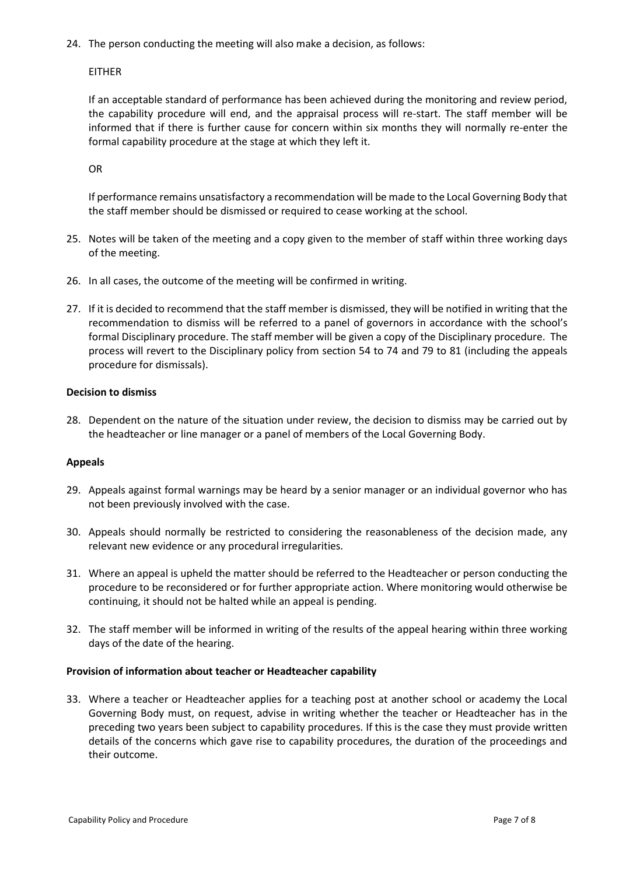24. The person conducting the meeting will also make a decision, as follows:

EITHER

If an acceptable standard of performance has been achieved during the monitoring and review period, the capability procedure will end, and the appraisal process will re-start. The staff member will be informed that if there is further cause for concern within six months they will normally re-enter the formal capability procedure at the stage at which they left it.

OR

If performance remains unsatisfactory a recommendation will be made to the Local Governing Body that the staff member should be dismissed or required to cease working at the school.

- 25. Notes will be taken of the meeting and a copy given to the member of staff within three working days of the meeting.
- 26. In all cases, the outcome of the meeting will be confirmed in writing.
- 27. If it is decided to recommend that the staff member is dismissed, they will be notified in writing that the recommendation to dismiss will be referred to a panel of governors in accordance with the school's formal Disciplinary procedure. The staff member will be given a copy of the Disciplinary procedure. The process will revert to the Disciplinary policy from section 54 to 74 and 79 to 81 (including the appeals procedure for dismissals).

### **Decision to dismiss**

28. Dependent on the nature of the situation under review, the decision to dismiss may be carried out by the headteacher or line manager or a panel of members of the Local Governing Body.

### **Appeals**

- 29. Appeals against formal warnings may be heard by a senior manager or an individual governor who has not been previously involved with the case.
- 30. Appeals should normally be restricted to considering the reasonableness of the decision made, any relevant new evidence or any procedural irregularities.
- 31. Where an appeal is upheld the matter should be referred to the Headteacher or person conducting the procedure to be reconsidered or for further appropriate action. Where monitoring would otherwise be continuing, it should not be halted while an appeal is pending.
- 32. The staff member will be informed in writing of the results of the appeal hearing within three working days of the date of the hearing.

### **Provision of information about teacher or Headteacher capability**

33. Where a teacher or Headteacher applies for a teaching post at another school or academy the Local Governing Body must, on request, advise in writing whether the teacher or Headteacher has in the preceding two years been subject to capability procedures. If this is the case they must provide written details of the concerns which gave rise to capability procedures, the duration of the proceedings and their outcome.